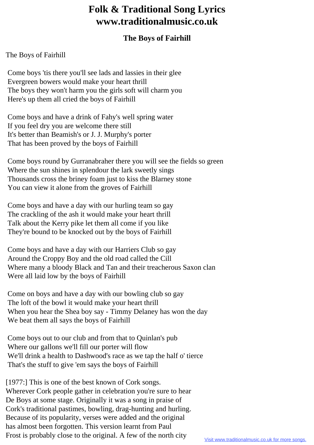## **Folk & Traditional Song Lyrics www.traditionalmusic.co.uk**

## **The Boys of Fairhill**

## The Boys of Fairhill

 Come boys 'tis there you'll see lads and lassies in their glee Evergreen bowers would make your heart thrill The boys they won't harm you the girls soft will charm you Here's up them all cried the boys of Fairhill

 Come boys and have a drink of Fahy's well spring water If you feel dry you are welcome there still It's better than Beamish's or J. J. Murphy's porter That has been proved by the boys of Fairhill

 Come boys round by Gurranabraher there you will see the fields so green Where the sun shines in splendour the lark sweetly sings Thousands cross the briney foam just to kiss the Blarney stone You can view it alone from the groves of Fairhill

 Come boys and have a day with our hurling team so gay The crackling of the ash it would make your heart thrill Talk about the Kerry pike let them all come if you like They're bound to be knocked out by the boys of Fairhill

 Come boys and have a day with our Harriers Club so gay Around the Croppy Boy and the old road called the Cill Where many a bloody Black and Tan and their treacherous Saxon clan Were all laid low by the boys of Fairhill

 Come on boys and have a day with our bowling club so gay The loft of the bowl it would make your heart thrill When you hear the Shea boy say - Timmy Delaney has won the day We beat them all says the boys of Fairhill

 Come boys out to our club and from that to Quinlan's pub Where our gallons we'll fill our porter will flow We'll drink a health to Dashwood's race as we tap the half o' tierce That's the stuff to give 'em says the boys of Fairhill

[1977:] This is one of the best known of Cork songs. Wherever Cork people gather in celebration you're sure to hear De Boys at some stage. Originally it was a song in praise of Cork's traditional pastimes, bowling, drag-hunting and hurling. Because of its popularity, verses were added and the original has almost been forgotten. This version learnt from Paul Frost is probably close to the original. A few of the north city